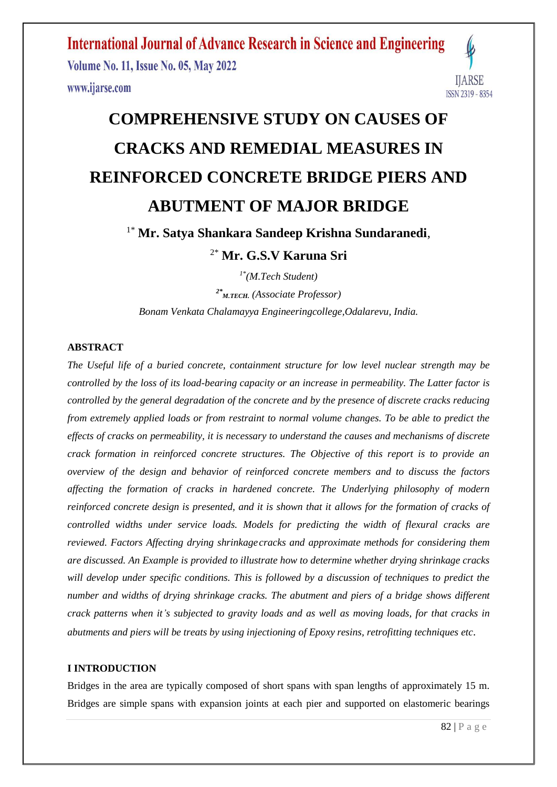**Volume No. 11, Issue No. 05, May 2022** www.ijarse.com



# **COMPREHENSIVE STUDY ON CAUSES OF CRACKS AND REMEDIAL MEASURES IN REINFORCED CONCRETE BRIDGE PIERS AND ABUTMENT OF MAJOR BRIDGE**

### 1\* **Mr. Satya Shankara Sandeep Krishna Sundaranedi**,

2\* **Mr. G.S.V Karuna Sri**

*1\*(M.Tech Student)*

*2\* M.TECH. (Associate Professor) Bonam Venkata Chalamayya Engineeringcollege,Odalarevu, India.*

#### **ABSTRACT**

*The Useful life of a buried concrete, containment structure for low level nuclear strength may be controlled by the loss of its load-bearing capacity or an increase in permeability. The Latter factor is controlled by the general degradation of the concrete and by the presence of discrete cracks reducing from extremely applied loads or from restraint to normal volume changes. To be able to predict the effects of cracks on permeability, it is necessary to understand the causes and mechanisms of discrete crack formation in reinforced concrete structures. The Objective of this report is to provide an overview of the design and behavior of reinforced concrete members and to discuss the factors affecting the formation of cracks in hardened concrete. The Underlying philosophy of modern reinforced concrete design is presented, and it is shown that it allows for the formation of cracks of controlled widths under service loads. Models for predicting the width of flexural cracks are reviewed. Factors Affecting drying shrinkagecracks and approximate methods for considering them are discussed. An Example is provided to illustrate how to determine whether drying shrinkage cracks will develop under specific conditions. This is followed by a discussion of techniques to predict the number and widths of drying shrinkage cracks. The abutment and piers of a bridge shows different crack patterns when it's subjected to gravity loads and as well as moving loads, for that cracks in abutments and piers will be treats by using injectioning of Epoxy resins, retrofitting techniques etc*.

#### **I INTRODUCTION**

Bridges in the area are typically composed of short spans with span lengths of approximately 15 m. Bridges are simple spans with expansion joints at each pier and supported on elastomeric bearings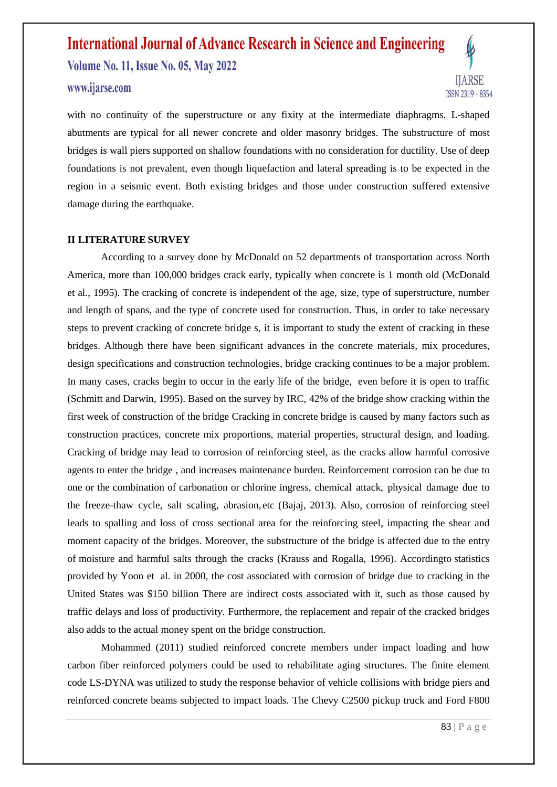#### www.ijarse.com



with no continuity of the superstructure or any fixity at the intermediate diaphragms. L-shaped abutments are typical for all newer concrete and older masonry bridges. The substructure of most bridges is wall piers supported on shallow foundations with no consideration for ductility. Use of deep foundations is not prevalent, even though liquefaction and lateral spreading is to be expected in the region in a seismic event. Both existing bridges and those under construction suffered extensive damage during the earthquake.

#### **II LITERATURE SURVEY**

According to a survey done by McDonald on 52 departments of transportation across North America, more than 100,000 bridges crack early, typically when concrete is 1 month old (McDonald et al., 1995). The cracking of concrete is independent of the age, size, type of superstructure, number and length of spans, and the type of concrete used for construction. Thus, in order to take necessary steps to prevent cracking of concrete bridge s, it is important to study the extent of cracking in these bridges. Although there have been significant advances in the concrete materials, mix procedures, design specifications and construction technologies, bridge cracking continues to be a major problem. In many cases, cracks begin to occur in the early life of the bridge, even before it is open to traffic (Schmitt and Darwin, 1995). Based on the survey by IRC, 42% of the bridge show cracking within the first week of construction of the bridge Cracking in concrete bridge is caused by many factors such as construction practices, concrete mix proportions, material properties, structural design, and loading. Cracking of bridge may lead to corrosion of reinforcing steel, as the cracks allow harmful corrosive agents to enter the bridge , and increases maintenance burden. Reinforcement corrosion can be due to one or the combination of carbonation or chlorine ingress, chemical attack, physical damage due to the freeze-thaw cycle, salt scaling, abrasion, etc (Bajaj, 2013). Also, corrosion of reinforcing steel leads to spalling and loss of cross sectional area for the reinforcing steel, impacting the shear and moment capacity of the bridges. Moreover, the substructure of the bridge is affected due to the entry of moisture and harmful salts through the cracks (Krauss and Rogalla, 1996). Accordingto statistics provided by Yoon et al. in 2000, the cost associated with corrosion of bridge due to cracking in the United States was \$150 billion There are indirect costs associated with it, such as those caused by traffic delays and loss of productivity. Furthermore, the replacement and repair of the cracked bridges also adds to the actual money spent on the bridge construction.

Mohammed (2011) studied reinforced concrete members under impact loading and how carbon fiber reinforced polymers could be used to rehabilitate aging structures. The finite element code LS-DYNA was utilized to study the response behavior of vehicle collisions with bridge piers and reinforced concrete beams subjected to impact loads. The Chevy C2500 pickup truck and Ford F800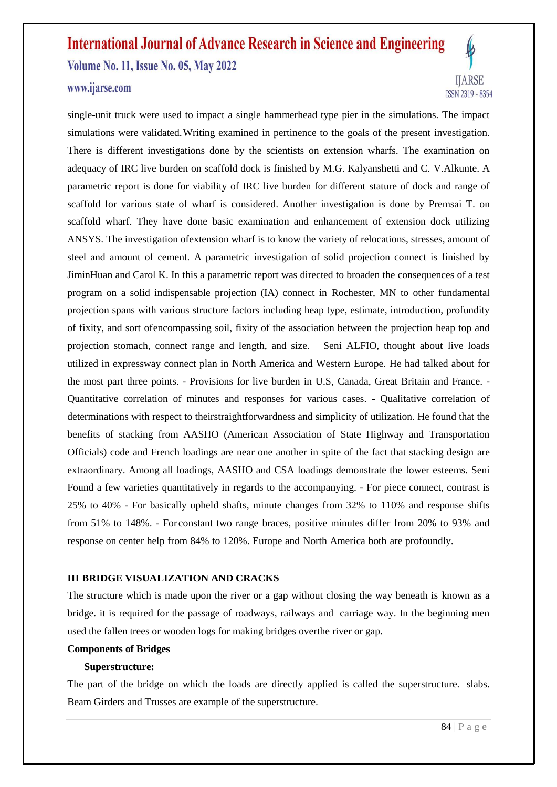#### www.ijarse.com



single-unit truck were used to impact a single hammerhead type pier in the simulations. The impact simulations were validated.Writing examined in pertinence to the goals of the present investigation. There is different investigations done by the scientists on extension wharfs. The examination on adequacy of IRC live burden on scaffold dock is finished by M.G. Kalyanshetti and C. V.Alkunte. A parametric report is done for viability of IRC live burden for different stature of dock and range of scaffold for various state of wharf is considered. Another investigation is done by Premsai T. on scaffold wharf. They have done basic examination and enhancement of extension dock utilizing ANSYS. The investigation ofextension wharf is to know the variety of relocations, stresses, amount of steel and amount of cement. A parametric investigation of solid projection connect is finished by JiminHuan and Carol K. In this a parametric report was directed to broaden the consequences of a test program on a solid indispensable projection (IA) connect in Rochester, MN to other fundamental projection spans with various structure factors including heap type, estimate, introduction, profundity of fixity, and sort ofencompassing soil, fixity of the association between the projection heap top and projection stomach, connect range and length, and size. Seni ALFIO, thought about live loads utilized in expressway connect plan in North America and Western Europe. He had talked about for the most part three points. - Provisions for live burden in U.S, Canada, Great Britain and France. - Quantitative correlation of minutes and responses for various cases. - Qualitative correlation of determinations with respect to theirstraightforwardness and simplicity of utilization. He found that the benefits of stacking from AASHO (American Association of State Highway and Transportation Officials) code and French loadings are near one another in spite of the fact that stacking design are extraordinary. Among all loadings, AASHO and CSA loadings demonstrate the lower esteems. Seni Found a few varieties quantitatively in regards to the accompanying. - For piece connect, contrast is 25% to 40% - For basically upheld shafts, minute changes from 32% to 110% and response shifts from 51% to 148%. - For constant two range braces, positive minutes differ from 20% to 93% and response on center help from 84% to 120%. Europe and North America both are profoundly.

#### **III BRIDGE VISUALIZATION AND CRACKS**

The structure which is made upon the river or a gap without closing the way beneath is known as a bridge. it is required for the passage of roadways, railways and carriage way. In the beginning men used the fallen trees or wooden logs for making bridges overthe river or gap.

#### **Components of Bridges**

#### **Superstructure:**

The part of the bridge on which the loads are directly applied is called the superstructure. slabs. Beam Girders and Trusses are example of the superstructure.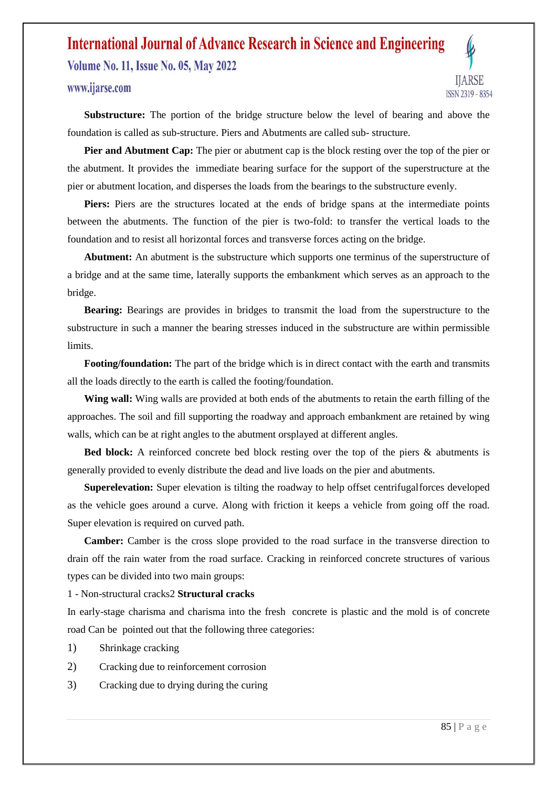#### www.ijarse.com



**Substructure:** The portion of the bridge structure below the level of bearing and above the foundation is called as sub-structure. Piers and Abutments are called sub- structure.

**Pier and Abutment Cap:** The pier or abutment cap is the block resting over the top of the pier or the abutment. It provides the immediate bearing surface for the support of the superstructure at the pier or abutment location, and disperses the loads from the bearings to the substructure evenly.

**Piers:** Piers are the structures located at the ends of bridge spans at the intermediate points between the abutments. The function of the pier is two-fold: to transfer the vertical loads to the foundation and to resist all horizontal forces and transverse forces acting on the bridge.

**Abutment:** An abutment is the substructure which supports one terminus of the superstructure of a bridge and at the same time, laterally supports the embankment which serves as an approach to the bridge.

**Bearing:** Bearings are provides in bridges to transmit the load from the superstructure to the substructure in such a manner the bearing stresses induced in the substructure are within permissible limits.

**Footing/foundation:** The part of the bridge which is in direct contact with the earth and transmits all the loads directly to the earth is called the footing/foundation.

**Wing wall:** Wing walls are provided at both ends of the abutments to retain the earth filling of the approaches. The soil and fill supporting the roadway and approach embankment are retained by wing walls, which can be at right angles to the abutment orsplayed at different angles.

Bed block: A reinforced concrete bed block resting over the top of the piers & abutments is generally provided to evenly distribute the dead and live loads on the pier and abutments.

**Superelevation:** Super elevation is tilting the roadway to help offset centrifugalforces developed as the vehicle goes around a curve. Along with friction it keeps a vehicle from going off the road. Super elevation is required on curved path.

Camber: Camber is the cross slope provided to the road surface in the transverse direction to drain off the rain water from the road surface. Cracking in reinforced concrete structures of various types can be divided into two main groups:

1 - Non-structural cracks2 **Structural cracks**

In early-stage charisma and charisma into the fresh concrete is plastic and the mold is of concrete road Can be pointed out that the following three categories:

- 1) Shrinkage cracking
- 2) Cracking due to reinforcement corrosion
- 3) Cracking due to drying during the curing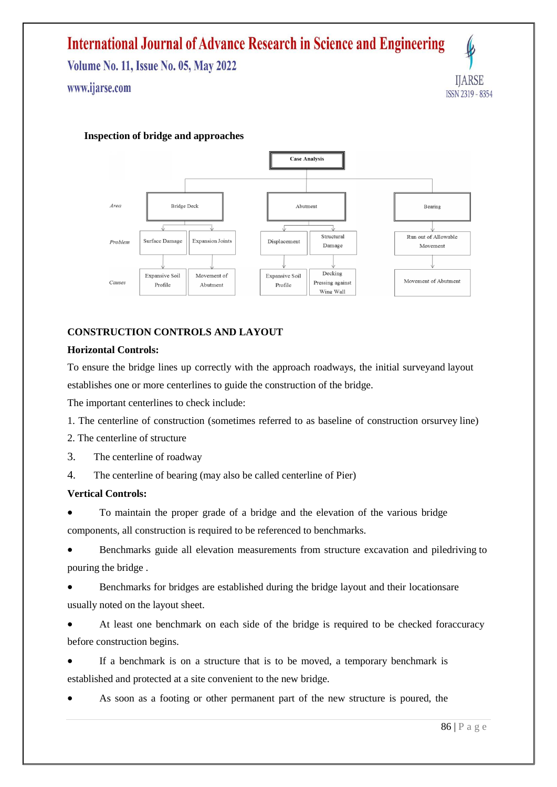**Volume No. 11, Issue No. 05, May 2022** 

www.ijarse.com

### IJARSE ISSN 2319 - 8354

#### **Inspection of bridge and approaches**



#### **CONSTRUCTION CONTROLS AND LAYOUT**

#### **Horizontal Controls:**

To ensure the bridge lines up correctly with the approach roadways, the initial surveyand layout establishes one or more centerlines to guide the construction of the bridge.

The important centerlines to check include:

1. The centerline of construction (sometimes referred to as baseline of construction orsurvey line)

- 2. The centerline of structure
- 3. The centerline of roadway

4. The centerline of bearing (may also be called centerline of Pier)

#### **Vertical Controls:**

 To maintain the proper grade of a bridge and the elevation of the various bridge components, all construction is required to be referenced to benchmarks.

 Benchmarks guide all elevation measurements from structure excavation and piledriving to pouring the bridge .

 Benchmarks for bridges are established during the bridge layout and their locationsare usually noted on the layout sheet.

 At least one benchmark on each side of the bridge is required to be checked foraccuracy before construction begins.

 If a benchmark is on a structure that is to be moved, a temporary benchmark is established and protected at a site convenient to the new bridge.

As soon as a footing or other permanent part of the new structure is poured, the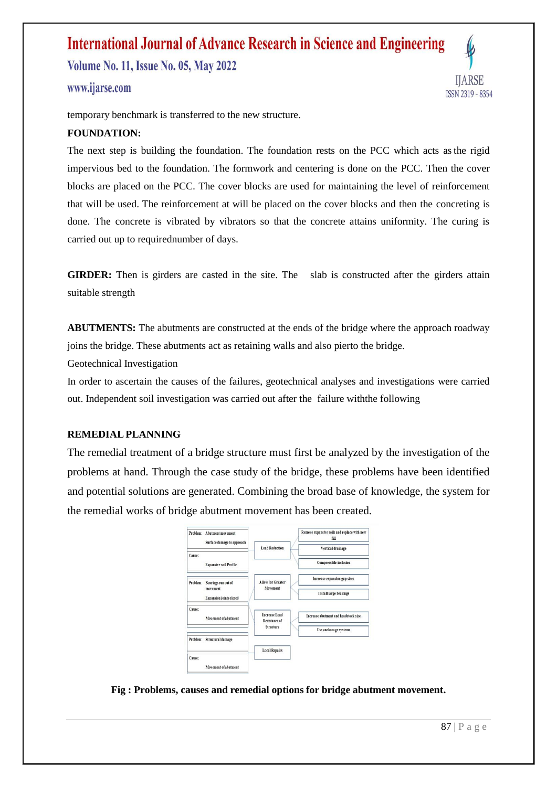**Volume No. 11, Issue No. 05, May 2022** 

#### www.ijarse.com



temporary benchmark is transferred to the new structure.

#### **FOUNDATION:**

The next step is building the foundation. The foundation rests on the PCC which acts asthe rigid impervious bed to the foundation. The formwork and centering is done on the PCC. Then the cover blocks are placed on the PCC. The cover blocks are used for maintaining the level of reinforcement that will be used. The reinforcement at will be placed on the cover blocks and then the concreting is done. The concrete is vibrated by vibrators so that the concrete attains uniformity. The curing is carried out up to requirednumber of days.

**GIRDER:** Then is girders are casted in the site. The slab is constructed after the girders attain suitable strength

**ABUTMENTS:** The abutments are constructed at the ends of the bridge where the approach roadway joins the bridge. These abutments act as retaining walls and also pierto the bridge.

Geotechnical Investigation

In order to ascertain the causes of the failures, geotechnical analyses and investigations were carried out. Independent soil investigation was carried out after the failure withthe following

#### **REMEDIAL PLANNING**

The remedial treatment of a bridge structure must first be analyzed by the investigation of the problems at hand. Through the case study of the bridge, these problems have been identified and potential solutions are generated. Combining the broad base of knowledge, the system for the remedial works of bridge abutment movement has been created.

|          | Problem: Abutment movement<br>Surface damage to approach          |                                              | Remove expansive soils and replace with new<br>fill |
|----------|-------------------------------------------------------------------|----------------------------------------------|-----------------------------------------------------|
|          |                                                                   | <b>Load Reduction</b>                        | Vertical drainage                                   |
| Cause:   | <b>Expansive soil Profile</b>                                     |                                              | <b>Compressible inclusion</b>                       |
| Problem: | Bearings run out of<br>movement<br><b>Expansion</b> joints closed | <b>Allow for Greater</b><br>Movement         | Increase expansion gap sizes                        |
|          |                                                                   |                                              | <b>Install large bearings</b>                       |
| Cause:   | Movement of abutment                                              | <b>Increase Load</b><br><b>Resistance of</b> | Increase abutment and headstock size                |
|          |                                                                   | <b>Structure</b>                             | Use anchorage systems                               |
|          | Problem: Structural damage                                        |                                              |                                                     |
|          |                                                                   | <b>Local Repairs</b>                         |                                                     |
| Cause:   | Movement of abutment                                              |                                              |                                                     |

**Fig : Problems, causes and remedial options for bridge abutment movement.**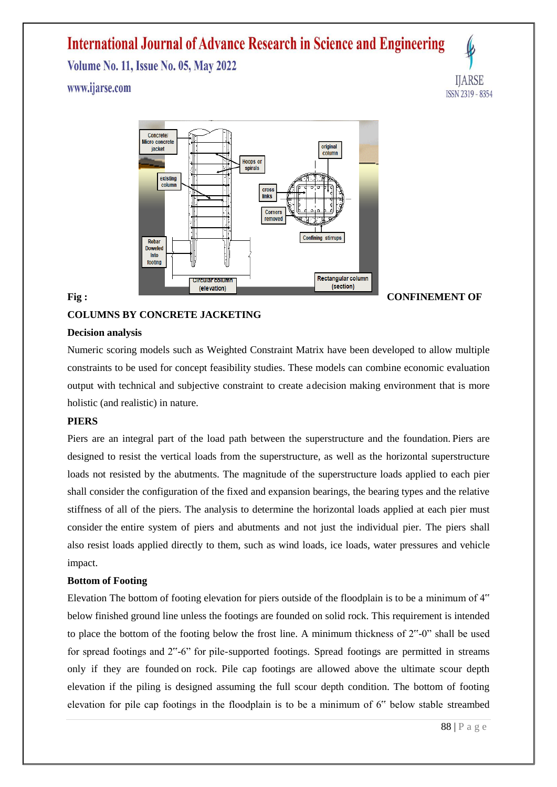**Volume No. 11, Issue No. 05, May 2022** 

#### www.ijarse.com





#### **COLUMNS BY CONCRETE JACKETING**

#### **Decision analysis**

Numeric scoring models such as Weighted Constraint Matrix have been developed to allow multiple constraints to be used for concept feasibility studies. These models can combine economic evaluation output with technical and subjective constraint to create adecision making environment that is more holistic (and realistic) in nature.

#### **PIERS**

Piers are an integral part of the load path between the superstructure and the foundation. Piers are designed to resist the vertical loads from the superstructure, as well as the horizontal superstructure loads not resisted by the abutments. The magnitude of the superstructure loads applied to each pier shall consider the configuration of the fixed and expansion bearings, the bearing types and the relative stiffness of all of the piers. The analysis to determine the horizontal loads applied at each pier must consider the entire system of piers and abutments and not just the individual pier. The piers shall also resist loads applied directly to them, such as wind loads, ice loads, water pressures and vehicle impact.

#### **Bottom of Footing**

Elevation The bottom of footing elevation for piers outside of the floodplain is to be a minimum of 4" below finished ground line unless the footings are founded on solid rock. This requirement is intended to place the bottom of the footing below the frost line. A minimum thickness of 2"-0" shall be used for spread footings and 2"-6" for pile-supported footings. Spread footings are permitted in streams only if they are founded on rock. Pile cap footings are allowed above the ultimate scour depth elevation if the piling is designed assuming the full scour depth condition. The bottom of footing elevation for pile cap footings in the floodplain is to be a minimum of 6" below stable streambed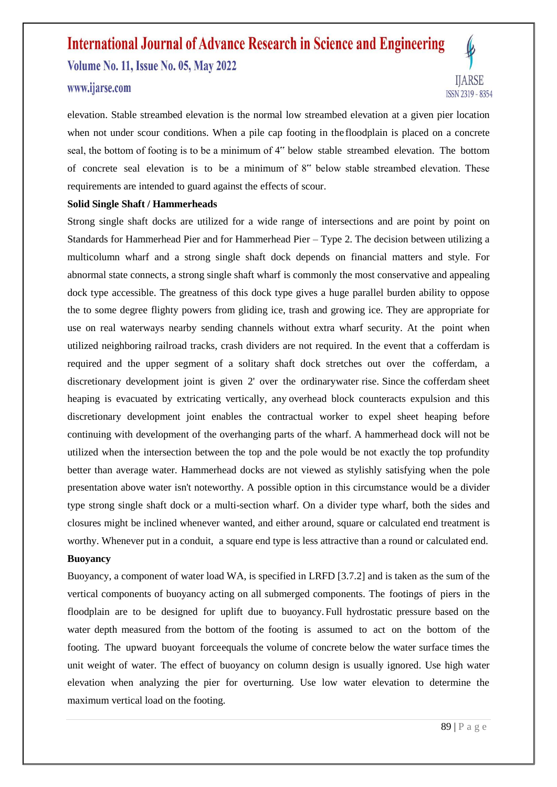#### www.ijarse.com



elevation. Stable streambed elevation is the normal low streambed elevation at a given pier location when not under scour conditions. When a pile cap footing in the floodplain is placed on a concrete seal, the bottom of footing is to be a minimum of 4" below stable streambed elevation. The bottom of concrete seal elevation is to be a minimum of 8" below stable streambed elevation. These requirements are intended to guard against the effects of scour.

#### **Solid Single Shaft / Hammerheads**

Strong single shaft docks are utilized for a wide range of intersections and are point by point on Standards for Hammerhead Pier and for Hammerhead Pier – Type 2. The decision between utilizing a multicolumn wharf and a strong single shaft dock depends on financial matters and style. For abnormal state connects, a strong single shaft wharf is commonly the most conservative and appealing dock type accessible. The greatness of this dock type gives a huge parallel burden ability to oppose the to some degree flighty powers from gliding ice, trash and growing ice. They are appropriate for use on real waterways nearby sending channels without extra wharf security. At the point when utilized neighboring railroad tracks, crash dividers are not required. In the event that a cofferdam is required and the upper segment of a solitary shaft dock stretches out over the cofferdam, a discretionary development joint is given 2' over the ordinarywater rise. Since the cofferdam sheet heaping is evacuated by extricating vertically, any overhead block counteracts expulsion and this discretionary development joint enables the contractual worker to expel sheet heaping before continuing with development of the overhanging parts of the wharf. A hammerhead dock will not be utilized when the intersection between the top and the pole would be not exactly the top profundity better than average water. Hammerhead docks are not viewed as stylishly satisfying when the pole presentation above water isn't noteworthy. A possible option in this circumstance would be a divider type strong single shaft dock or a multi-section wharf. On a divider type wharf, both the sides and closures might be inclined whenever wanted, and either around, square or calculated end treatment is worthy. Whenever put in a conduit, a square end type is less attractive than a round or calculated end.

#### **Buoyancy**

Buoyancy, a component of water load WA, is specified in LRFD [3.7.2] and is taken as the sum of the vertical components of buoyancy acting on all submerged components. The footings of piers in the floodplain are to be designed for uplift due to buoyancy. Full hydrostatic pressure based on the water depth measured from the bottom of the footing is assumed to act on the bottom of the footing. The upward buoyant forceequals the volume of concrete below the water surface times the unit weight of water. The effect of buoyancy on column design is usually ignored. Use high water elevation when analyzing the pier for overturning. Use low water elevation to determine the maximum vertical load on the footing.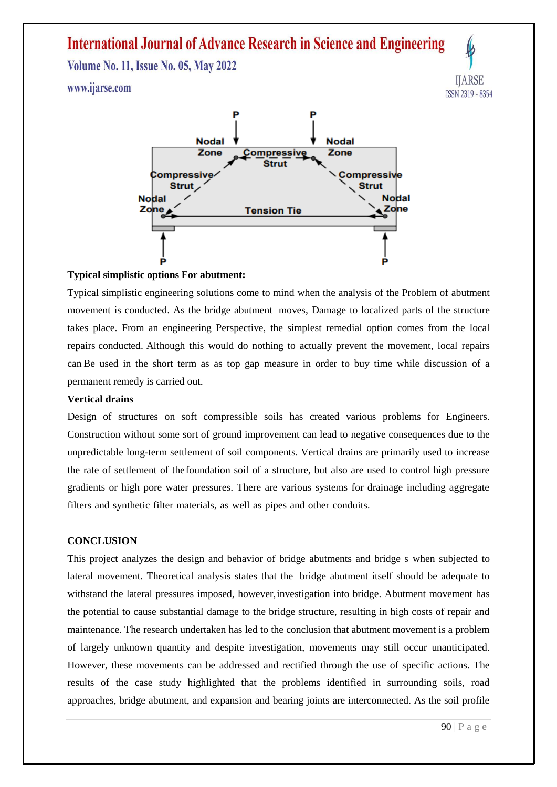**Volume No. 11, Issue No. 05, May 2022** www.ijarse.com





#### **Typical simplistic options For abutment:**

Typical simplistic engineering solutions come to mind when the analysis of the Problem of abutment movement is conducted. As the bridge abutment moves, Damage to localized parts of the structure takes place. From an engineering Perspective, the simplest remedial option comes from the local repairs conducted. Although this would do nothing to actually prevent the movement, local repairs can Be used in the short term as as top gap measure in order to buy time while discussion of a permanent remedy is carried out.

#### **Vertical drains**

Design of structures on soft compressible soils has created various problems for Engineers. Construction without some sort of ground improvement can lead to negative consequences due to the unpredictable long-term settlement of soil components. Vertical drains are primarily used to increase the rate of settlement of thefoundation soil of a structure, but also are used to control high pressure gradients or high pore water pressures. There are various systems for drainage including aggregate filters and synthetic filter materials, as well as pipes and other conduits.

#### **CONCLUSION**

This project analyzes the design and behavior of bridge abutments and bridge s when subjected to lateral movement. Theoretical analysis states that the bridge abutment itself should be adequate to withstand the lateral pressures imposed, however,investigation into bridge. Abutment movement has the potential to cause substantial damage to the bridge structure, resulting in high costs of repair and maintenance. The research undertaken has led to the conclusion that abutment movement is a problem of largely unknown quantity and despite investigation, movements may still occur unanticipated. However, these movements can be addressed and rectified through the use of specific actions. The results of the case study highlighted that the problems identified in surrounding soils, road approaches, bridge abutment, and expansion and bearing joints are interconnected. As the soil profile